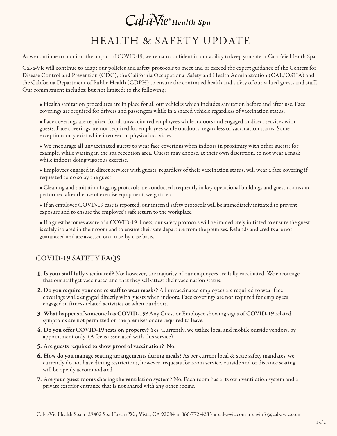# Cal-a-Vie® Health Spa

### HEALTH & SAFETY UPDATE

As we continue to monitor the impact of COVID-19, we remain confident in our ability to keep you safe at Cal-a-Vie Health Spa.

Cal-a-Vie will continue to adapt our policies and safety protocols to meet and or exceed the expert guidance of the Centers for Disease Control and Prevention (CDC), the California Occupational Safety and Health Administration (CAL/OSHA) and the California Department of Public Health (CDPH) to ensure the continued health and safety of our valued guests and staff. Our commitment includes; but not limited; to the following:

• Health sanitation procedures are in place for all our vehicles which includes sanitation before and after use. Face coverings are required for drivers and passengers while in a shared vehicle regardless of vaccination status.

• Face coverings are required for all unvaccinated employees while indoors and engaged in direct services with guests. Face coverings are not required for employees while outdoors, regardless of vaccination status. Some exceptions may exist while involved in physical activities.

• We encourage all unvaccinated guests to wear face coverings when indoors in proximity with other guests; for example, while waiting in the spa reception area. Guests may choose, at their own discretion, to not wear a mask while indoors doing vigorous exercise.

• Employees engaged in direct services with guests, regardless of their vaccination status, will wear a face covering if requested to do so by the guest.

• Cleaning and sanitation fogging protocols are conducted frequently in key operational buildings and guest rooms and performed after the use of exercise equipment, weights, etc.

• If an employee COVD-19 case is reported, our internal safety protocols will be immediately initiated to prevent exposure and to ensure the employee's safe return to the workplace.

• If a guest becomes aware of a COVID-19 illness, our safety protocols will be immediately initiated to ensure the guest is safely isolated in their room and to ensure their safe departure from the premises. Refunds and credits are not guaranteed and are assessed on a case-by-case basis.

#### COVID-19 SAFETY FAQS

- 1. Is your staff fully vaccinated? No; however, the majority of our employees are fully vaccinated. We encourage that our staff get vaccinated and that they self-attest their vaccination status.
- 2. Do you require your entire staff to wear masks? All unvaccinated employees are required to wear face coverings while engaged directly with guests when indoors. Face coverings are not required for employees engaged in fitness related activities or when outdoors.
- 3. What happens if someone has COVID-19? Any Guest or Employee showing signs of COVID-19 related symptoms are not permitted on the premises or are required to leave.
- 4. Do you offer COVID-19 tests on property? Yes. Currently, we utilize local and mobile outside vendors, by appointment only. (A fee is associated with this service)
- 5. Are guests required to show proof of vaccination? No.
- 6. How do you manage seating arrangements during meals? As per current local & state safety mandates, we currently do not have dining restrictions, however, requests for room service, outside and or distance seating will be openly accommodated.
- 7. Are your guest rooms sharing the ventilation system? No. Each room has a its own ventilation system and a private exterior entrance that is not shared with any other rooms.